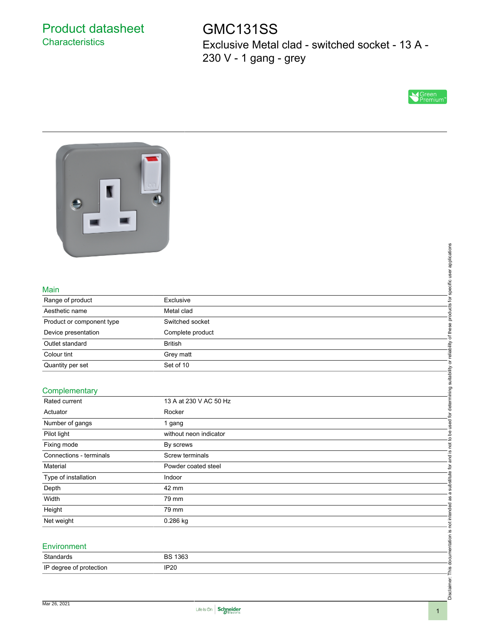# Product datasheet **Characteristics**

GMC131SS Exclusive Metal clad - switched socket - 13 A - 230 V - 1 gang - grey





#### Main

| Range of product          | Exclusive        |
|---------------------------|------------------|
| Aesthetic name            | Metal clad       |
| Product or component type | Switched socket  |
| Device presentation       | Complete product |
| Outlet standard           | <b>British</b>   |
| Colour tint               | Grey matt        |
| Quantity per set          | Set of 10        |

#### **Complementary**

| Main                      |                        | products for specific user applications                      |
|---------------------------|------------------------|--------------------------------------------------------------|
| Range of product          | Exclusive              |                                                              |
| Aesthetic name            | Metal clad             |                                                              |
| Product or component type | Switched socket        |                                                              |
| Device presentation       | Complete product       | of these                                                     |
| Outlet standard           | <b>British</b>         |                                                              |
| Colour tint               | Grey matt              |                                                              |
| Quantity per set          | Set of 10              |                                                              |
|                           |                        |                                                              |
| Complementary             |                        | is not to be used for determining suitability or reliability |
| Rated current             | 13 A at 230 V AC 50 Hz |                                                              |
| Actuator                  | Rocker                 |                                                              |
| Number of gangs           | 1 gang                 |                                                              |
| Pilot light               | without neon indicator |                                                              |
| Fixing mode               | By screws              |                                                              |
| Connections - terminals   | Screw terminals        |                                                              |
| Material                  | Powder coated steel    | and                                                          |
| Type of installation      | Indoor                 | substitute for                                               |
| Depth                     | 42 mm                  |                                                              |
| Width                     | 79 mm                  | ā<br>æ                                                       |
| Height                    | 79 mm                  |                                                              |
| Net weight                | 0.286 kg               |                                                              |
|                           |                        |                                                              |
|                           |                        |                                                              |
| Environment               |                        |                                                              |
| Standards                 | <b>BS 1363</b>         |                                                              |
| IP degree of protection   | IP20                   |                                                              |
|                           |                        |                                                              |
|                           |                        | Disclaimer: This documentation is not intended               |

#### **Environment**

| Standards               | 1363<br>DC. |
|-------------------------|-------------|
| IP degree<br>protection | IP20        |